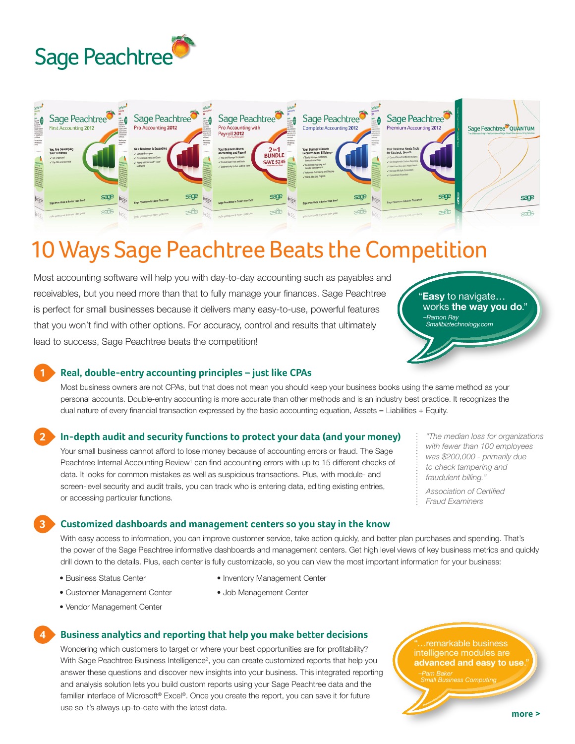



# 10 Ways Sage Peachtree Beats the Competition

Most accounting software will help you with day-to-day accounting such as payables and receivables, but you need more than that to fully manage your finances. Sage Peachtree is perfect for small businesses because it delivers many easy-to-use, powerful features that you won't find with other options. For accuracy, control and results that ultimately lead to success, Sage Peachtree beats the competition!

**Easy** to navigate... works **the way you do**." *–Ramon Ray Smallbiztechnology.com*

## **1 Real, double-entry accounting principles – just like CPAs**

Most business owners are not CPAs, but that does not mean you should keep your business books using the same method as your personal accounts. Double-entry accounting is more accurate than other methods and is an industry best practice. It recognizes the dual nature of every financial transaction expressed by the basic accounting equation, Assets = Liabilities + Equity.

# **2 In-depth audit and security functions to protect your data (and your money)**

Your small business cannot afford to lose money because of accounting errors or fraud. The Sage Peachtree Internal Accounting Review<sup>1</sup> can find accounting errors with up to 15 different checks of data. It looks for common mistakes as well as suspicious transactions. Plus, with module- and screen-level security and audit trails, you can track who is entering data, editing existing entries, or accessing particular functions.

**advanced and easy to use**." *"The median loss for organizations*  with fewer than 100 employees *Small Business Computing was \$200,000 - primarily due to check tampering and fraudulent billing." Association of Certified Fraud Examiners*

#### **3 Customized dashboards and management centers so you stay in the know**

With easy access to information, you can improve customer service, take action quickly, and better plan purchases and spending. That's the power of the Sage Peachtree informative dashboards and management centers. Get high level views of key business metrics and quickly drill down to the details. Plus, each center is fully customizable, so you can view the most important information for your business: business **decisions**."

- Business Status Center
- Inventory Management Center
- Customer Management Center
	-
- Job Management Center
- Vendor Management Center

# **4 Business analytics and reporting that help you make better decisions**

Wondering which customers to target or where your best opportunities are for profitability? With Sage Peachtree Business Intelligence<sup>2</sup>, you can create customized reports that help you answer these questions and discover new insights into your business. This integrated reporting and analysis solution lets you build custom reports using your Sage Peachtree data and the familiar interface of Microsoft® Excel®. Once you create the report, you can save it for future use so it's always up-to-date with the latest data.

advanced and easy to use." growing businesses, Sage *–Pam Baker* **Personal Premium Accounting Premium Accounting Premium Accounting Premium Accounting Premium Accounting Premium Accounting Premium Accounting Premium Accounting Premium Accounting Premium Accounting Premium Accounting Pre** remarkable business intelligence modules are *Small Business Computing*

2012 remains **a strong solution for any small business**."  *– CPA Practice Advisor*